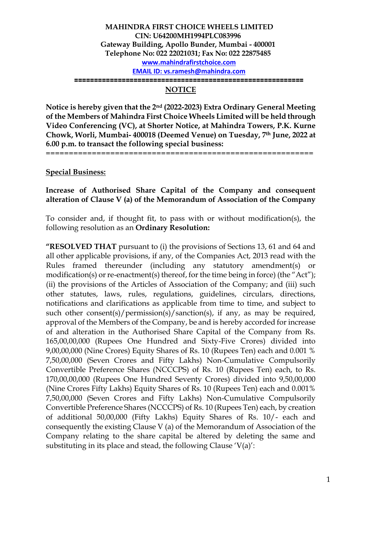#### **MAHINDRA FIRST CHOICE WHEELS LIMITED CIN: U64200MH1994PLC083996 Gateway Building, Apollo Bunder, Mumbai - 400001 Telephone No: 022 22021031; Fax No: 022 22875485 [www.mahindrafirstchoice.com](http://www.mahindrafirstchoice.com/) EMAIL ID: [vs.ramesh@mahindra.com](mailto:vs.ramesh@mahindra.com) ==========================================================**

# **NOTICE**

**Notice is hereby given that the 2nd (2022-2023) Extra Ordinary General Meeting of the Members of Mahindra First Choice Wheels Limited will be held through Video Conferencing (VC), at Shorter Notice, at Mahindra Towers, P.K. Kurne Chowk, Worli, Mumbai- 400018 (Deemed Venue) on Tuesday, 7th June, 2022 at 6.00 p.m. to transact the following special business:**

==========================================================

**Special Business:**

## **Increase of Authorised Share Capital of the Company and consequent alteration of Clause V (a) of the Memorandum of Association of the Company**

To consider and, if thought fit, to pass with or without modification(s), the following resolution as an **Ordinary Resolution:**

**"RESOLVED THAT** pursuant to (i) the provisions of Sections 13, 61 and 64 and all other applicable provisions, if any, of the Companies Act, 2013 read with the Rules framed thereunder (including any statutory amendment(s) or modification(s) or re-enactment(s) thereof, for the time being in force) (the "Act"); (ii) the provisions of the Articles of Association of the Company; and (iii) such other statutes, laws, rules, regulations, guidelines, circulars, directions, notifications and clarifications as applicable from time to time, and subject to such other consent(s)/permission(s)/sanction(s), if any, as may be required, approval of the Members of the Company, be and is hereby accorded for increase of and alteration in the Authorised Share Capital of the Company from Rs. 165,00,00,000 (Rupees One Hundred and Sixty-Five Crores) divided into 9,00,00,000 (Nine Crores) Equity Shares of Rs. 10 (Rupees Ten) each and 0.001 % 7,50,00,000 (Seven Crores and Fifty Lakhs) Non-Cumulative Compulsorily Convertible Preference Shares (NCCCPS) of Rs. 10 (Rupees Ten) each, to Rs. 170,00,00,000 (Rupees One Hundred Seventy Crores) divided into 9,50,00,000 (Nine Crores Fifty Lakhs) Equity Shares of Rs. 10 (Rupees Ten) each and 0.001% 7,50,00,000 (Seven Crores and Fifty Lakhs) Non-Cumulative Compulsorily Convertible Preference Shares (NCCCPS) of Rs. 10 (Rupees Ten) each, by creation of additional 50,00,000 (Fifty Lakhs) Equity Shares of Rs. 10/- each and consequently the existing Clause V (a) of the Memorandum of Association of the Company relating to the share capital be altered by deleting the same and substituting in its place and stead, the following Clause 'V(a)':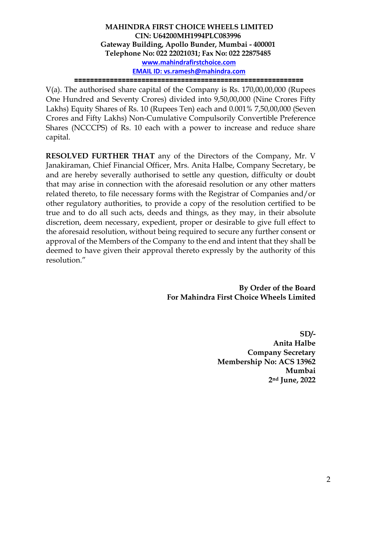**MAHINDRA FIRST CHOICE WHEELS LIMITED CIN: U64200MH1994PLC083996 Gateway Building, Apollo Bunder, Mumbai - 400001 Telephone No: 022 22021031; Fax No: 022 22875485 [www.mahindrafirstchoice.com](http://www.mahindrafirstchoice.com/) EMAIL ID: [vs.ramesh@mahindra.com](mailto:vs.ramesh@mahindra.com)**

**==========================================================**

V(a). The authorised share capital of the Company is Rs. 170,00,00,000 (Rupees One Hundred and Seventy Crores) divided into 9,50,00,000 (Nine Crores Fifty Lakhs) Equity Shares of Rs. 10 (Rupees Ten) each and 0.001% 7,50,00,000 (Seven Crores and Fifty Lakhs) Non-Cumulative Compulsorily Convertible Preference Shares (NCCCPS) of Rs. 10 each with a power to increase and reduce share capital.

**RESOLVED FURTHER THAT** any of the Directors of the Company, Mr. V Janakiraman, Chief Financial Officer, Mrs. Anita Halbe, Company Secretary, be and are hereby severally authorised to settle any question, difficulty or doubt that may arise in connection with the aforesaid resolution or any other matters related thereto, to file necessary forms with the Registrar of Companies and/or other regulatory authorities, to provide a copy of the resolution certified to be true and to do all such acts, deeds and things, as they may, in their absolute discretion, deem necessary, expedient, proper or desirable to give full effect to the aforesaid resolution, without being required to secure any further consent or approval of the Members of the Company to the end and intent that they shall be deemed to have given their approval thereto expressly by the authority of this resolution."

> **By Order of the Board For Mahindra First Choice Wheels Limited**

> > **SD/- Anita Halbe Company Secretary Membership No: ACS 13962 Mumbai 2nd June, 2022**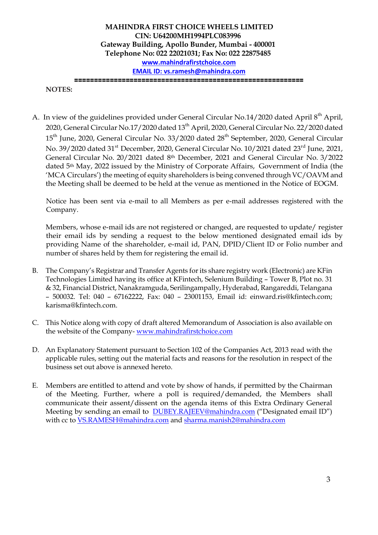**MAHINDRA FIRST CHOICE WHEELS LIMITED CIN: U64200MH1994PLC083996 Gateway Building, Apollo Bunder, Mumbai - 400001 Telephone No: 022 22021031; Fax No: 022 22875485 [www.mahindrafirstchoice.com](http://www.mahindrafirstchoice.com/) EMAIL ID: [vs.ramesh@mahindra.com](mailto:vs.ramesh@mahindra.com) ==========================================================**

**NOTES:**

A. In view of the guidelines provided under General Circular No.14/2020 dated April 8<sup>th</sup> April, 2020, General Circular No.17/2020 dated 13<sup>th</sup> April, 2020, General Circular No. 22/2020 dated 15<sup>th</sup> June, 2020, General Circular No. 33/2020 dated 28<sup>th</sup> September, 2020, General Circular No. 39/2020 dated 31<sup>st</sup> December, 2020, General Circular No. 10/2021 dated 23<sup>rd</sup> June, 2021, General Circular No. 20/2021 dated 8th December, 2021 and General Circular No. 3/2022 dated 5th May, 2022 issued by the Ministry of Corporate Affairs, Government of India (the 'MCA Circulars') the meeting of equity shareholders is being convened through VC/OAVM and the Meeting shall be deemed to be held at the venue as mentioned in the Notice of EOGM.

Notice has been sent via e-mail to all Members as per e-mail addresses registered with the Company.

Members, whose e-mail ids are not registered or changed, are requested to update/ register their email ids by sending a request to the below mentioned designated email ids by providing Name of the shareholder, e-mail id, PAN, DPID/Client ID or Folio number and number of shares held by them for registering the email id.

- B. The Company's Registrar and Transfer Agents for its share registry work (Electronic) are KFin Technologies Limited having its office at KFintech, Selenium Building – Tower B, Plot no. 31 & 32, Financial District, Nanakramguda, Serilingampally, Hyderabad, Rangareddi, Telangana – 500032. Tel: 040 – 67162222, Fax: 040 – 23001153, Email id: [einward.ris@kfintech.com;](mailto:einward.ris@kfintech.com) [karisma@kfintech.com.](mailto:karisma@kfintech.com)
- C. This Notice along with copy of draft altered Memorandum of Association is also available on the website of the Company- [www.mahindrafirstchoice.com](http://www.mahindrafirstchoice.com/)
- D. An Explanatory Statement pursuant to Section 102 of the Companies Act, 2013 read with the applicable rules, setting out the material facts and reasons for the resolution in respect of the business set out above is annexed hereto.
- E. Members are entitled to attend and vote by show of hands, if permitted by the Chairman of the Meeting. Further, where a poll is required/demanded, the Members shall communicate their assent/dissent on the agenda items of this Extra Ordinary General Meeting by sending an email to [DUBEY.RAJEEV@mahindra.com](mailto:DUBEY.RAJEEV@mahindra.com) ("Designated email ID") with cc to [VS.RAMESH@mahindra.com](mailto:VS.RAMESH@mahindra.com) and [sharma.manish2@mahindra.com](mailto:sharma.manish2@mahindra.com)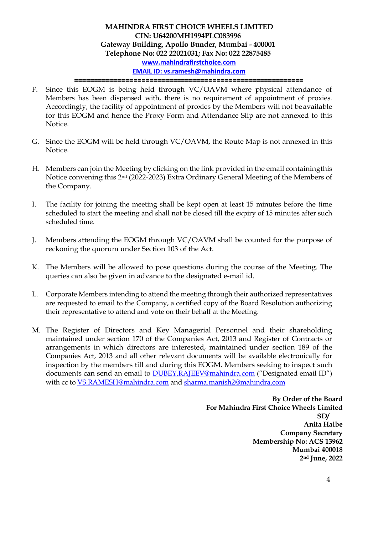# **MAHINDRA FIRST CHOICE WHEELS LIMITED CIN: U64200MH1994PLC083996 Gateway Building, Apollo Bunder, Mumbai - 400001 Telephone No: 022 22021031; Fax No: 022 22875485 [www.mahindrafirstchoice.com](http://www.mahindrafirstchoice.com/) EMAIL ID: [vs.ramesh@mahindra.com](mailto:vs.ramesh@mahindra.com)**

**==========================================================**

- F. Since this EOGM is being held through VC/OAVM where physical attendance of Members has been dispensed with, there is no requirement of appointment of proxies. Accordingly, the facility of appointment of proxies by the Members will not be available for this EOGM and hence the Proxy Form and Attendance Slip are not annexed to this Notice.
- G. Since the EOGM will be held through VC/OAVM, the Route Map is not annexed in this Notice.
- H. Members can join the Meeting by clicking on the link provided in the email containingthis Notice convening this 2nd (2022-2023) Extra Ordinary General Meeting of the Members of the Company.
- I. The facility for joining the meeting shall be kept open at least 15 minutes before the time scheduled to start the meeting and shall not be closed till the expiry of 15 minutes after such scheduled time.
- J. Members attending the EOGM through VC/OAVM shall be counted for the purpose of reckoning the quorum under Section 103 of the Act.
- K. The Members will be allowed to pose questions during the course of the Meeting. The queries can also be given in advance to the designated e-mail id.
- L. Corporate Members intending to attend the meeting through their authorized representatives are requested to email to the Company, a certified copy of the Board Resolution authorizing their representative to attend and vote on their behalf at the Meeting.
- M. The Register of Directors and Key Managerial Personnel and their shareholding maintained under section 170 of the Companies Act, 2013 and Register of Contracts or arrangements in which directors are interested, maintained under section 189 of the Companies Act, 2013 and all other relevant documents will be available electronically for inspection by the members till and during this EOGM. Members seeking to inspect such documents can send an email to [DUBEY.RAJEEV@mahindra.com](mailto:DUBEY.RAJEEV@mahindra.com) ("Designated email ID") with cc to [VS.RAMESH@mahindra.com](mailto:VS.RAMESH@mahindra.com) and [sharma.manish2@mahindra.com](mailto:sharma.manish2@mahindra.com)

**By Order of the Board For Mahindra First Choice Wheels Limited SD/ Anita Halbe Company Secretary Membership No: ACS 13962 Mumbai 400018 2nd June, 2022**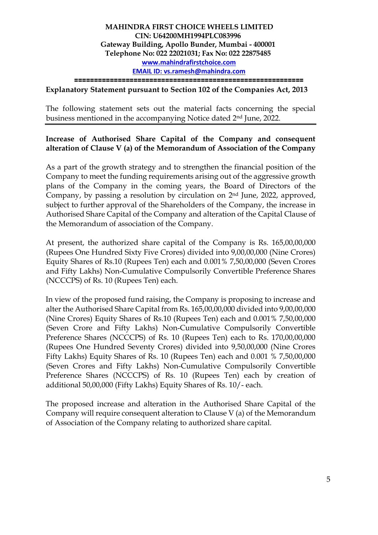**==========================================================**

#### **Explanatory Statement pursuant to Section 102 of the Companies Act, 2013**

The following statement sets out the material facts concerning the special business mentioned in the accompanying Notice dated 2nd June, 2022.

## **Increase of Authorised Share Capital of the Company and consequent alteration of Clause V (a) of the Memorandum of Association of the Company**

As a part of the growth strategy and to strengthen the financial position of the Company to meet the funding requirements arising out of the aggressive growth plans of the Company in the coming years, the Board of Directors of the Company, by passing a resolution by circulation on 2nd June, 2022, approved, subject to further approval of the Shareholders of the Company, the increase in Authorised Share Capital of the Company and alteration of the Capital Clause of the Memorandum of association of the Company.

At present, the authorized share capital of the Company is Rs. 165,00,00,000 (Rupees One Hundred Sixty Five Crores) divided into 9,00,00,000 (Nine Crores) Equity Shares of Rs.10 (Rupees Ten) each and 0.001% 7,50,00,000 (Seven Crores and Fifty Lakhs) Non-Cumulative Compulsorily Convertible Preference Shares (NCCCPS) of Rs. 10 (Rupees Ten) each.

In view of the proposed fund raising, the Company is proposing to increase and alter the Authorised Share Capital from Rs. 165,00,00,000 divided into 9,00,00,000 (Nine Crores) Equity Shares of Rs.10 (Rupees Ten) each and 0.001% 7,50,00,000 (Seven Crore and Fifty Lakhs) Non-Cumulative Compulsorily Convertible Preference Shares (NCCCPS) of Rs. 10 (Rupees Ten) each to Rs. 170,00,00,000 (Rupees One Hundred Seventy Crores) divided into 9,50,00,000 (Nine Crores Fifty Lakhs) Equity Shares of Rs. 10 (Rupees Ten) each and 0.001 % 7,50,00,000 (Seven Crores and Fifty Lakhs) Non-Cumulative Compulsorily Convertible Preference Shares (NCCCPS) of Rs. 10 (Rupees Ten) each by creation of additional 50,00,000 (Fifty Lakhs) Equity Shares of Rs. 10/- each.

The proposed increase and alteration in the Authorised Share Capital of the Company will require consequent alteration to Clause V (a) of the Memorandum of Association of the Company relating to authorized share capital.